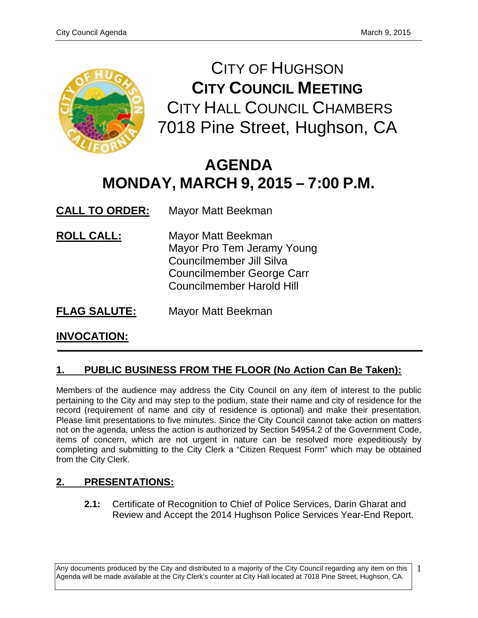

CITY OF HUGHSON **CITY COUNCIL MEETING** CITY HALL COUNCIL CHAMBERS 7018 Pine Street, Hughson, CA

# **AGENDA MONDAY, MARCH 9, 2015 – 7:00 P.M.**

**CALL TO ORDER:** Mayor Matt Beekman

- **ROLL CALL:** Mayor Matt Beekman Mayor Pro Tem Jeramy Young Councilmember Jill Silva Councilmember George Carr Councilmember Harold Hill
- **FLAG SALUTE:** Mayor Matt Beekman

# **INVOCATION:**

# **1. PUBLIC BUSINESS FROM THE FLOOR (No Action Can Be Taken):**

Members of the audience may address the City Council on any item of interest to the public pertaining to the City and may step to the podium, state their name and city of residence for the record (requirement of name and city of residence is optional) and make their presentation. Please limit presentations to five minutes. Since the City Council cannot take action on matters not on the agenda, unless the action is authorized by Section 54954.2 of the Government Code, items of concern, which are not urgent in nature can be resolved more expeditiously by completing and submitting to the City Clerk a "Citizen Request Form" which may be obtained from the City Clerk.

# **2. PRESENTATIONS:**

**2.1:** Certificate of Recognition to Chief of Police Services, Darin Gharat and Review and Accept the 2014 Hughson Police Services Year-End Report.

Any documents produced by the City and distributed to a majority of the City Council regarding any item on this Agenda will be made available at the City Clerk's counter at City Hall located at 7018 Pine Street, Hughson, CA. 1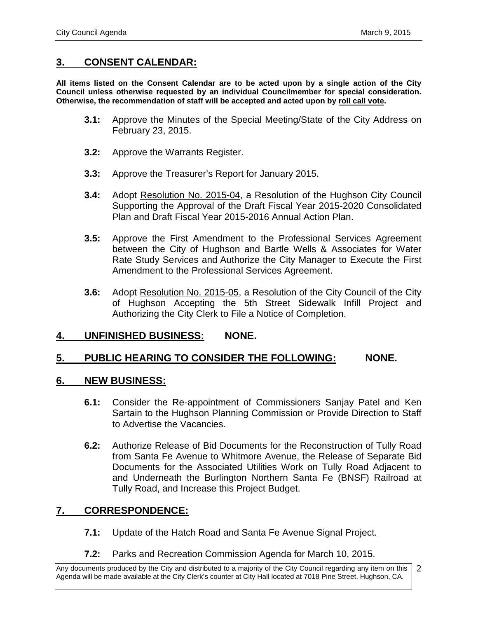### **3. CONSENT CALENDAR:**

**All items listed on the Consent Calendar are to be acted upon by a single action of the City Council unless otherwise requested by an individual Councilmember for special consideration. Otherwise, the recommendation of staff will be accepted and acted upon by roll call vote.**

- **3.1:** Approve the Minutes of the Special Meeting/State of the City Address on February 23, 2015.
- **3.2:** Approve the Warrants Register.
- **3.3:** Approve the Treasurer's Report for January 2015.
- **3.4:** Adopt Resolution No. 2015-04, a Resolution of the Hughson City Council Supporting the Approval of the Draft Fiscal Year 2015-2020 Consolidated Plan and Draft Fiscal Year 2015-2016 Annual Action Plan.
- **3.5:** Approve the First Amendment to the Professional Services Agreement between the City of Hughson and Bartle Wells & Associates for Water Rate Study Services and Authorize the City Manager to Execute the First Amendment to the Professional Services Agreement.
- **3.6:** Adopt Resolution No. 2015-05, a Resolution of the City Council of the City of Hughson Accepting the 5th Street Sidewalk Infill Project and Authorizing the City Clerk to File a Notice of Completion.

### **4. UNFINISHED BUSINESS: NONE.**

#### **5. PUBLIC HEARING TO CONSIDER THE FOLLOWING: NONE.**

#### **6. NEW BUSINESS:**

- **6.1:** Consider the Re-appointment of Commissioners Sanjay Patel and Ken Sartain to the Hughson Planning Commission or Provide Direction to Staff to Advertise the Vacancies.
- **6.2:** Authorize Release of Bid Documents for the Reconstruction of Tully Road from Santa Fe Avenue to Whitmore Avenue, the Release of Separate Bid Documents for the Associated Utilities Work on Tully Road Adjacent to and Underneath the Burlington Northern Santa Fe (BNSF) Railroad at Tully Road, and Increase this Project Budget.

### **7. CORRESPONDENCE:**

- **7.1:** Update of the Hatch Road and Santa Fe Avenue Signal Project.
- **7.2:** Parks and Recreation Commission Agenda for March 10, 2015.

Any documents produced by the City and distributed to a majority of the City Council regarding any item on this Agenda will be made available at the City Clerk's counter at City Hall located at 7018 Pine Street, Hughson, CA. 2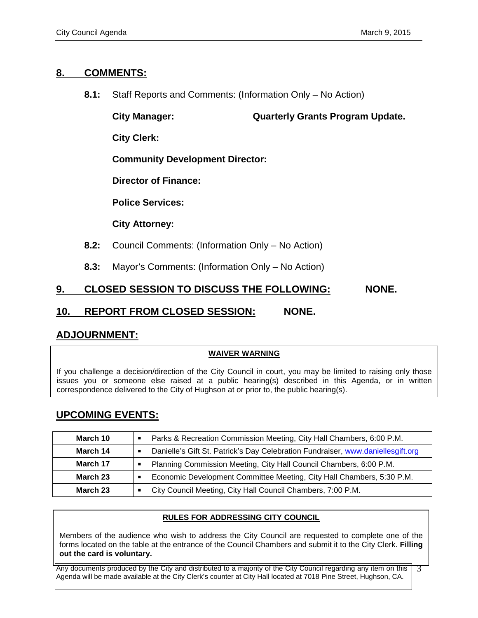### **8. COMMENTS:**

**8.1:** Staff Reports and Comments: (Information Only – No Action)

**City Manager: Quarterly Grants Program Update.** 

**City Clerk:**

**Community Development Director:**

**Director of Finance:**

**Police Services:**

**City Attorney:**

- **8.2:** Council Comments: (Information Only No Action)
- **8.3:** Mayor's Comments: (Information Only No Action)

# **9. CLOSED SESSION TO DISCUSS THE FOLLOWING: NONE.**

### **10. REPORT FROM CLOSED SESSION: NONE.**

# **ADJOURNMENT:**

#### **WAIVER WARNING**

If you challenge a decision/direction of the City Council in court, you may be limited to raising only those issues you or someone else raised at a public hearing(s) described in this Agenda, or in written correspondence delivered to the City of Hughson at or prior to, the public hearing(s).

# **UPCOMING EVENTS:**

| March 10 | Parks & Recreation Commission Meeting, City Hall Chambers, 6:00 P.M.<br>Ξ            |
|----------|--------------------------------------------------------------------------------------|
| March 14 | Danielle's Gift St. Patrick's Day Celebration Fundraiser, www.daniellesgift.org<br>п |
| March 17 | Planning Commission Meeting, City Hall Council Chambers, 6:00 P.M.                   |
| March 23 | Economic Development Committee Meeting, City Hall Chambers, 5:30 P.M.<br>п           |
| March 23 | City Council Meeting, City Hall Council Chambers, 7:00 P.M.                          |

### **RULES FOR ADDRESSING CITY COUNCIL**

Members of the audience who wish to address the City Council are requested to complete one of the forms located on the table at the entrance of the Council Chambers and submit it to the City Clerk. **Filling out the card is voluntary.**

Any documents produced by the City and distributed to a majority of the City Council regarding any item on this Agenda will be made available at the City Clerk's counter at City Hall located at 7018 Pine Street, Hughson, CA. 3